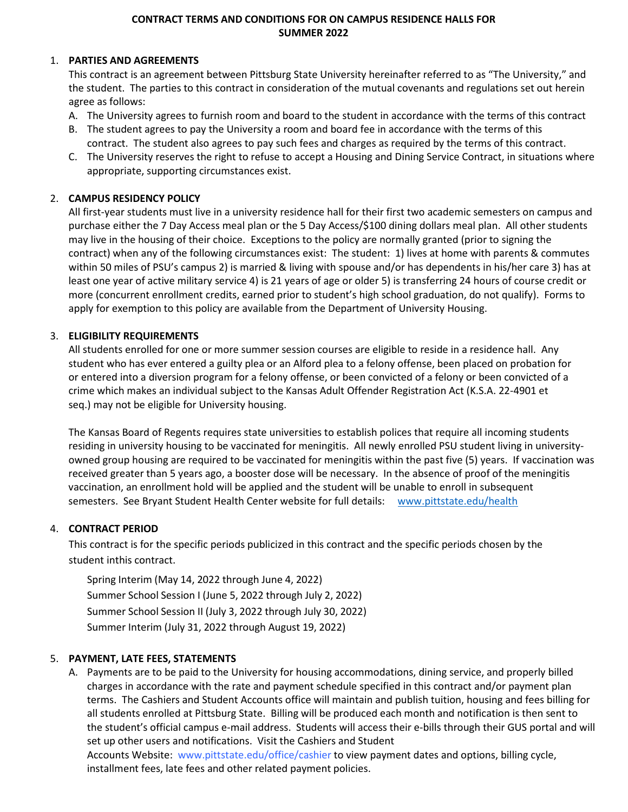## **CONTRACT TERMS AND CONDITIONS FOR ON CAMPUS RESIDENCE HALLS FOR SUMMER 2022**

### 1. **PARTIES AND AGREEMENTS**

This contract is an agreement between Pittsburg State University hereinafter referred to as "The University," and the student. The parties to this contract in consideration of the mutual covenants and regulations set out herein agree as follows:

- A. The University agrees to furnish room and board to the student in accordance with the terms of this contract
- B. The student agrees to pay the University a room and board fee in accordance with the terms of this contract. The student also agrees to pay such fees and charges as required by the terms of this contract.
- C. The University reserves the right to refuse to accept a Housing and Dining Service Contract, in situations where appropriate, supporting circumstances exist.

## 2. **CAMPUS RESIDENCY POLICY**

All first-year students must live in a university residence hall for their first two academic semesters on campus and purchase either the 7 Day Access meal plan or the 5 Day Access/\$100 dining dollars meal plan. All other students may live in the housing of their choice. Exceptions to the policy are normally granted (prior to signing the contract) when any of the following circumstances exist: The student: 1) lives at home with parents & commutes within 50 miles of PSU's campus 2) is married & living with spouse and/or has dependents in his/her care 3) has at least one year of active military service 4) is 21 years of age or older 5) is transferring 24 hours of course credit or more (concurrent enrollment credits, earned prior to student's high school graduation, do not qualify). Forms to apply for exemption to this policy are available from the Department of University Housing.

## 3. **ELIGIBILITY REQUIREMENTS**

All students enrolled for one or more summer session courses are eligible to reside in a residence hall. Any student who has ever entered a guilty plea or an Alford plea to a felony offense, been placed on probation for or entered into a diversion program for a felony offense, or been convicted of a felony or been convicted of a crime which makes an individual subject to the Kansas Adult Offender Registration Act (K.S.A. 22-4901 et seq.) may not be eligible for University housing.

The Kansas Board of Regents requires state universities to establish polices that require all incoming students residing in university housing to be vaccinated for meningitis. All newly enrolled PSU student living in universityowned group housing are required to be vaccinated for meningitis within the past five (5) years. If vaccination was received greater than 5 years ago, a booster dose will be necessary. In the absence of proof of the meningitis vaccination, an enrollment hold will be applied and the student will be unable to enroll in subsequent semesters. See Bryant Student Health Center website for full details: [www.pittstate.edu/health](http://www.pittstate.edu/health)

### 4. **CONTRACT PERIOD**

This contract is for the specific periods publicized in this contract and the specific periods chosen by the student inthis contract.

Spring Interim (May 14, 2022 through June 4, 2022) Summer School Session I (June 5, 2022 through July 2, 2022) Summer School Session II (July 3, 2022 through July 30, 2022) Summer Interim (July 31, 2022 through August 19, 2022)

## 5. **PAYMENT, LATE FEES, STATEMENTS**

A. Payments are to be paid to the University for housing accommodations, dining service, and properly billed charges in accordance with the rate and payment schedule specified in this contract and/or payment plan terms. The Cashiers and Student Accounts office will maintain and publish tuition, housing and fees billing for all students enrolled at Pittsburg State. Billing will be produced each month and notification is then sent to the student's official campus e-mail address. Students will access their e-bills through their GUS portal and will set up other users and notifications. Visit the Cashiers and Student Accounts Website: [www.pittstate.edu/office/cashier](http://www.pittstate.edu/office/cashier) to view payment dates and options, billing cycle,

installment fees, late fees and other related payment policies.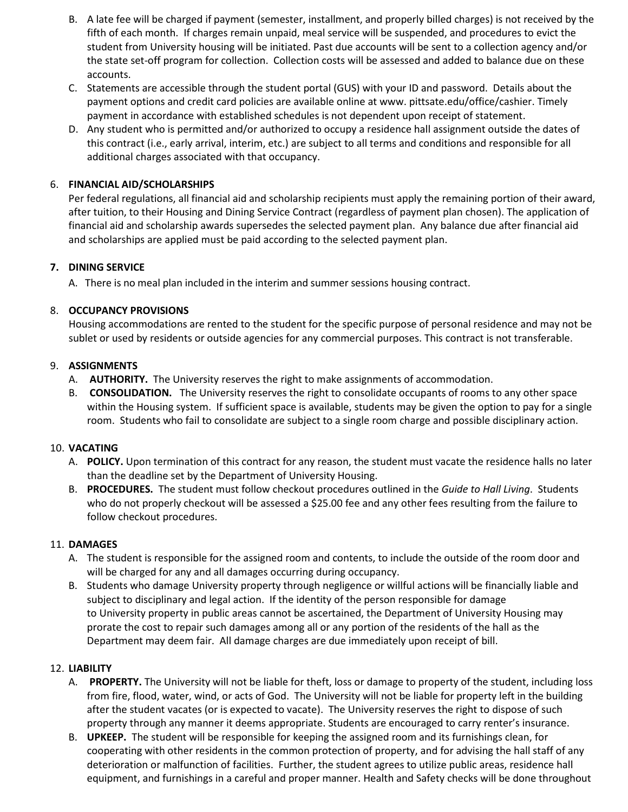- B. A late fee will be charged if payment (semester, installment, and properly billed charges) is not received by the fifth of each month. If charges remain unpaid, meal service will be suspended, and procedures to evict the student from University housing will be initiated. Past due accounts will be sent to a collection agency and/or the state set-off program for collection. Collection costs will be assessed and added to balance due on these accounts.
- C. Statements are accessible through the student portal (GUS) with your ID and password. Details about the payment options and credit card policies are available online at www. pittsate.edu/office/cashier. Timely payment in accordance with established schedules is not dependent upon receipt of statement.
- D. Any student who is permitted and/or authorized to occupy a residence hall assignment outside the dates of this contract (i.e., early arrival, interim, etc.) are subject to all terms and conditions and responsible for all additional charges associated with that occupancy.

## 6. **FINANCIAL AID/SCHOLARSHIPS**

Per federal regulations, all financial aid and scholarship recipients must apply the remaining portion of their award, after tuition, to their Housing and Dining Service Contract (regardless of payment plan chosen). The application of financial aid and scholarship awards supersedes the selected payment plan. Any balance due after financial aid and scholarships are applied must be paid according to the selected payment plan.

# **7. DINING SERVICE**

A. There is no meal plan included in the interim and summer sessions housing contract.

# 8. **OCCUPANCY PROVISIONS**

Housing accommodations are rented to the student for the specific purpose of personal residence and may not be sublet or used by residents or outside agencies for any commercial purposes. This contract is not transferable.

# 9. **ASSIGNMENTS**

- A. **AUTHORITY.** The University reserves the right to make assignments of accommodation.
- B. **CONSOLIDATION.** The University reserves the right to consolidate occupants of rooms to any other space within the Housing system. If sufficient space is available, students may be given the option to pay for a single room. Students who fail to consolidate are subject to a single room charge and possible disciplinary action.

## 10. **VACATING**

- A. **POLICY.** Upon termination of this contract for any reason, the student must vacate the residence halls no later than the deadline set by the Department of University Housing.
- B. **PROCEDURES.** The student must follow checkout procedures outlined in the *Guide to Hall Living*. Students who do not properly checkout will be assessed a \$25.00 fee and any other fees resulting from the failure to follow checkout procedures.

## 11. **DAMAGES**

- A. The student is responsible for the assigned room and contents, to include the outside of the room door and will be charged for any and all damages occurring during occupancy.
- B. Students who damage University property through negligence or willful actions will be financially liable and subject to disciplinary and legal action. If the identity of the person responsible for damage to University property in public areas cannot be ascertained, the Department of University Housing may prorate the cost to repair such damages among all or any portion of the residents of the hall as the Department may deem fair. All damage charges are due immediately upon receipt of bill.

# 12. **LIABILITY**

- A. **PROPERTY.** The University will not be liable for theft, loss or damage to property of the student, including loss from fire, flood, water, wind, or acts of God. The University will not be liable for property left in the building after the student vacates (or is expected to vacate). The University reserves the right to dispose of such property through any manner it deems appropriate. Students are encouraged to carry renter's insurance.
- B. **UPKEEP.** The student will be responsible for keeping the assigned room and its furnishings clean, for cooperating with other residents in the common protection of property, and for advising the hall staff of any deterioration or malfunction of facilities. Further, the student agrees to utilize public areas, residence hall equipment, and furnishings in a careful and proper manner. Health and Safety checks will be done throughout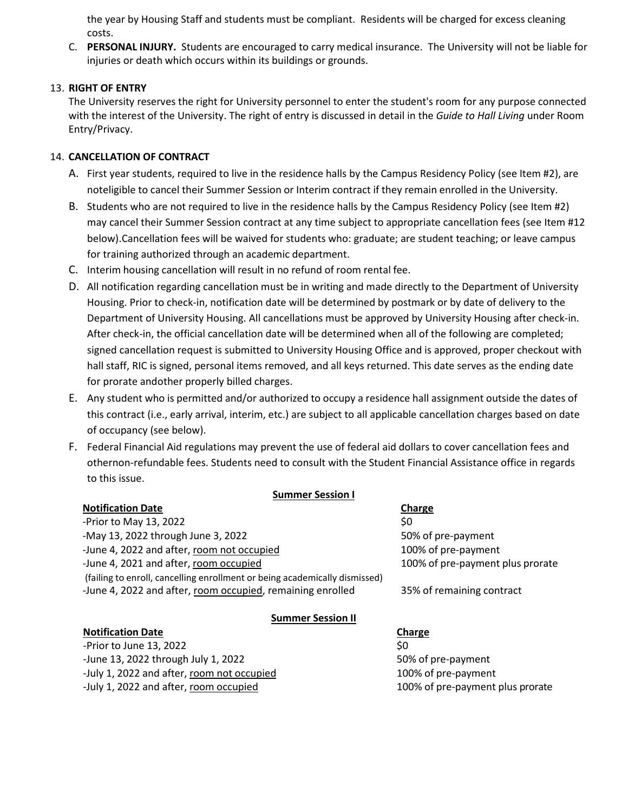the year by Housing Staff and students must be compliant. Residents will be charged for excess cleaning costs.

C. **PERSONAL INJURY.** Students are encouraged to carry medical insurance. The University will not be liable for injuries or death which occurs within its buildings or grounds.

## 13. **RIGHT OF ENTRY**

The University reserves the right for University personnel to enter the student's room for any purpose connected with the interest of the University. The right of entry is discussed in detail in the *Guide to Hall Living* under Room Entry/Privacy.

### 14. **CANCELLATION OF CONTRACT**

- A. First year students, required to live in the residence halls by the Campus Residency Policy (see Item #2), are noteligible to cancel their Summer Session or Interim contract if they remain enrolled in the University.
- B. Students who are not required to live in the residence halls by the Campus Residency Policy (see Item #2) may cancel their Summer Session contract at any time subject to appropriate cancellation fees (see Item #12 below).Cancellation fees will be waived for students who: graduate; are student teaching; or leave campus for training authorized through an academic department.
- C. Interim housing cancellation will result in no refund of room rental fee.
- D. All notification regarding cancellation must be in writing and made directly to the Department of University Housing. Prior to check-in, notification date will be determined by postmark or by date of delivery to the Department of University Housing. All cancellations must be approved by University Housing after check-in. After check-in, the official cancellation date will be determined when all of the following are completed; signed cancellation request is submitted to University Housing Office and is approved, proper checkout with hall staff, RIC is signed, personal items removed, and all keys returned. This date serves as the ending date for prorate andother properly billed charges.
- E. Any student who is permitted and/or authorized to occupy a residence hall assignment outside the dates of this contract (i.e., early arrival, interim, etc.) are subject to all applicable cancellation charges based on date of occupancy (see below).
- F. Federal Financial Aid regulations may prevent the use of federal aid dollars to cover cancellation fees and othernon-refundable fees. Students need to consult with the Student Financial Assistance office in regards to this issue.

### **Summer Session I**

| <b>Notification Date</b>                                                                                                                 | Charge                           |
|------------------------------------------------------------------------------------------------------------------------------------------|----------------------------------|
| -Prior to May 13, 2022                                                                                                                   | \$0                              |
| -May 13, 2022 through June 3, 2022                                                                                                       | 50% of pre-payment               |
| -June 4, 2022 and after, room not occupied                                                                                               | 100% of pre-payment              |
| -June 4, 2021 and after, room occupied                                                                                                   | 100% of pre-payment plus prorate |
| (failing to enroll, cancelling enrollment or being academically dismissed)<br>-June 4, 2022 and after, room occupied, remaining enrolled | 35% of remaining contract        |
| <b>Summer Session II</b>                                                                                                                 |                                  |
| <b>Notification Date</b>                                                                                                                 | Charge                           |
| -Prior to June 13, 2022                                                                                                                  | \$0                              |

-June 13, 2022 through July 1, 2022 50% of pre-payment -July 1, 2022 and after, room not occupied 100% of pre-payment -July 1, 2022 and after, room occupied 100% of pre-payment plus prorate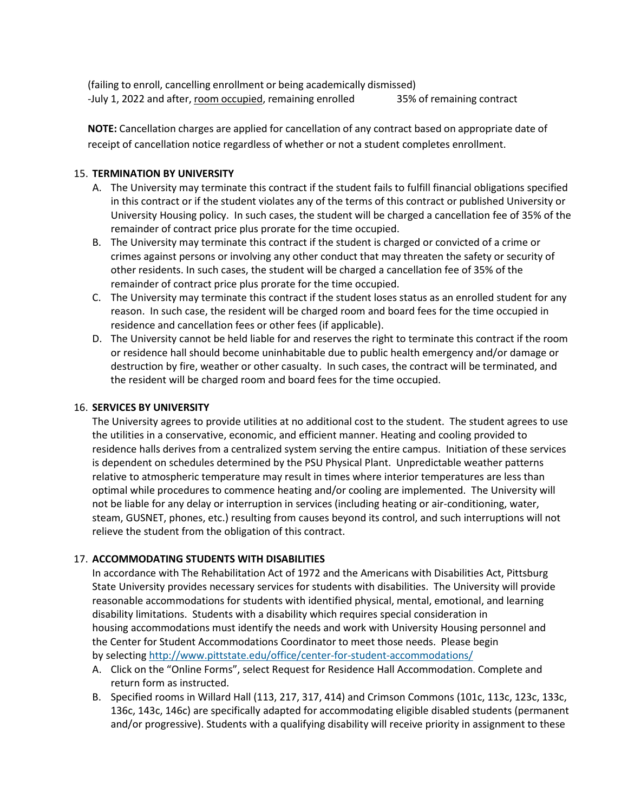(failing to enroll, cancelling enrollment or being academically dismissed) -July 1, 2022 and after, room occupied, remaining enrolled 35% of remaining contract

**NOTE:** Cancellation charges are applied for cancellation of any contract based on appropriate date of receipt of cancellation notice regardless of whether or not a student completes enrollment.

### 15. **TERMINATION BY UNIVERSITY**

- A. The University may terminate this contract if the student fails to fulfill financial obligations specified in this contract or if the student violates any of the terms of this contract or published University or University Housing policy. In such cases, the student will be charged a cancellation fee of 35% of the remainder of contract price plus prorate for the time occupied.
- B. The University may terminate this contract if the student is charged or convicted of a crime or crimes against persons or involving any other conduct that may threaten the safety or security of other residents. In such cases, the student will be charged a cancellation fee of 35% of the remainder of contract price plus prorate for the time occupied.
- C. The University may terminate this contract if the student loses status as an enrolled student for any reason. In such case, the resident will be charged room and board fees for the time occupied in residence and cancellation fees or other fees (if applicable).
- D. The University cannot be held liable for and reserves the right to terminate this contract if the room or residence hall should become uninhabitable due to public health emergency and/or damage or destruction by fire, weather or other casualty. In such cases, the contract will be terminated, and the resident will be charged room and board fees for the time occupied.

### 16. **SERVICES BY UNIVERSITY**

The University agrees to provide utilities at no additional cost to the student. The student agrees to use the utilities in a conservative, economic, and efficient manner. Heating and cooling provided to residence halls derives from a centralized system serving the entire campus. Initiation of these services is dependent on schedules determined by the PSU Physical Plant. Unpredictable weather patterns relative to atmospheric temperature may result in times where interior temperatures are less than optimal while procedures to commence heating and/or cooling are implemented. The University will not be liable for any delay or interruption in services (including heating or air-conditioning, water, steam, GUSNET, phones, etc.) resulting from causes beyond its control, and such interruptions will not relieve the student from the obligation of this contract.

### 17. **ACCOMMODATING STUDENTS WITH DISABILITIES**

In accordance with The Rehabilitation Act of 1972 and the Americans with Disabilities Act, Pittsburg State University provides necessary services for students with disabilities. The University will provide reasonable accommodations for students with identified physical, mental, emotional, and learning disability limitations. Students with a disability which requires special consideration in housing accommodations must identify the needs and work with University Housing personnel and the Center for Student Accommodations Coordinator to meet those needs. Please begin by selecting <http://www.pittstate.edu/office/center-for-student-accommodations/>

- A. Click on the "Online Forms", select Request for Residence Hall Accommodation. Complete and return form as instructed.
- B. Specified rooms in Willard Hall (113, 217, 317, 414) and Crimson Commons (101c, 113c, 123c, 133c, 136c, 143c, 146c) are specifically adapted for accommodating eligible disabled students (permanent and/or progressive). Students with a qualifying disability will receive priority in assignment to these